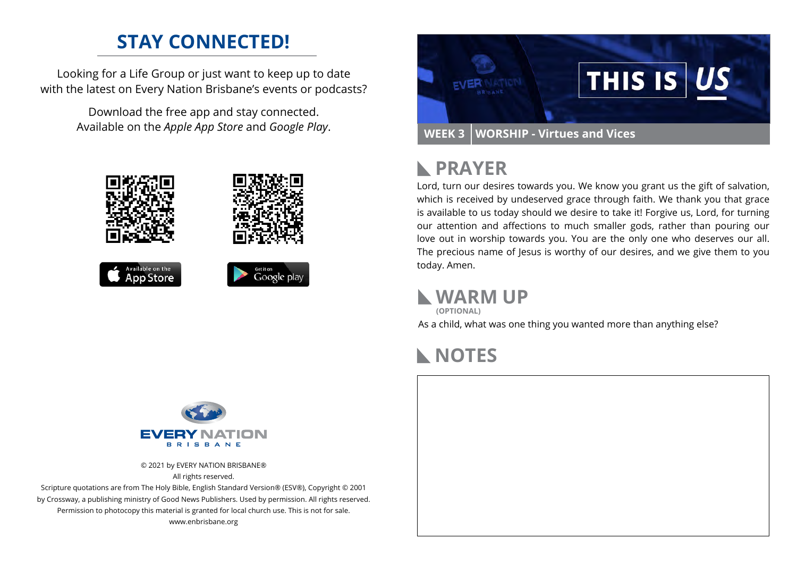### **STAY CONNECTED!**

Looking for a Life Group or just want to keep up to date with the latest on Every Nation Brisbane's events or podcasts?

> Download the free app and stay connected. Available on the *Apple App Store* and *Google Play*.





#### **PRAYER**  $\mathbf{L}$

Lord, turn our desires towards you. We know you grant us the gift of salvation, which is received by undeserved grace through faith. We thank you that grace is available to us today should we desire to take it! Forgive us, Lord, for turning our attention and affections to much smaller gods, rather than pouring our love out in worship towards you. You are the only one who deserves our all. The precious name of Jesus is worthy of our desires, and we give them to you today. Amen.

### **WARM UP**

As a child, what was one thing you wanted more than anything else? **(OPTIONAL)**

### **NOTES**

### EVE **BBIC BANE**

© 2021 by EVERY NATION BRISBANE® All rights reserved.

Scripture quotations are from The Holy Bible, English Standard Version® (ESV®), Copyright © 2001 by Crossway, a publishing ministry of Good News Publishers. Used by permission. All rights reserved. Permission to photocopy this material is granted for local church use. This is not for sale. www.enbrisbane.org